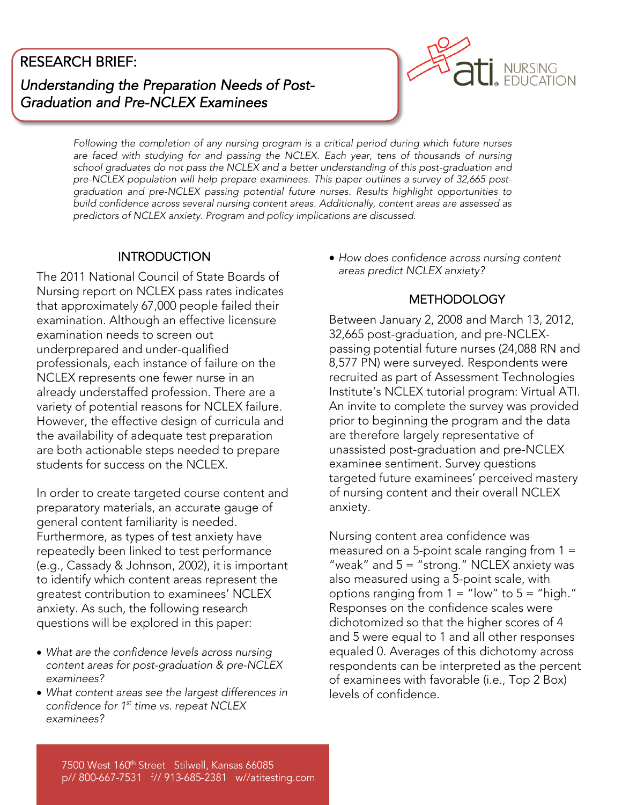## RESEARCH BRIEF:

*Understanding the Preparation Needs of Post-Graduation and Pre-NCLEX Examinees*



*Following the completion of any nursing program is a critical period during which future nurses*  school graduates do not pass the NCLEX and a better understanding of this post-graduation and *school graduates do not pass the NCLEX and a better understanding of this post-graduation and*  graduation and pre-NCLEX passing potential future nurses. Results highlight opportunities to build confidence across several nursing content areas. Additionally, content areas are assessed as *build confidence across several nursing content areas. Additionally, content areas are assessed as predictors of NCLEX anxiety. Program and policy implications are discussed.*

### **INTRODUCTION**

 $\blacksquare$ INTRODUCTION INTRODUCTION Nursing report on NCLEX pass rates indicates that approximately 67,000 people failed their examination. Although an effective licensure examination needs to screen out underprepared and under-qualified professionals, each instance of failure on the NCLEX represents one fewer nurse in an already understaffed profession. There are a variety of potential reasons for NCLEX failure. However, the effective design of curricula and the availability of adequate test preparation are both actionable steps needed to prepare students for success on the NCLEX. students for success on the NCLEX.

In order to create targeted course content and preparatory materials, an accurate gauge of general content familiarity is needed. Furthermore, as types of test anxiety have repeatedly been linked to test performance (e.g., Cassady & Johnson, 2002), it is important to identify which content areas represent the greatest contribution to examinees' NCLEX anxiety. As such, the following research animery. As such, the following research  $q$  be explored in this paper. The explored in this paper:

- *What are the confidence levels across nursing*   $examinees?$
- What content areas see the largest differences in contidence for 1<sup>st</sup> time vs. repeat NCLEX  $examinees?$ *st time vs. repeat NCLEX examinees?*

 *How does confidence across nursing content areas predict NCLEX anxiety?*

### **METHODOLOGY**

METHODOLOGY<br>Decenii: Alexandru Alexandru Alexandru Alexandru Alexandru Alexandru Alexandru Alexandru Alexandru Alexandru A 32,665 post-graduation, and pre-NCLEXpassing potential future nurses (24,088 RN and 8,577 PN) were surveyed. Respondents were recruited as part of Assessment Technologies Institute's NCLEX tutorial program: Virtual ATI. An invite to complete the survey was provided prior to beginning the program and the data are therefore largely representative of unassisted post-graduation and pre-NCLEX examinee sentiment. Survey questions targeted future examinees' perceived mastery of nursing content and their overall NCLEX of nursing content and their overall NCLEX.<br>anxiety anxiety.

Nursing content area confidence was<br>measured on a 5-point scale ranging from 1 = "weak" and  $5 =$  "strong." NCLEX anxiety was also measured using a 5-point scale, with options ranging from  $1-$  "low" to  $5-$  "high." Responses on the confidence scales were dichotomized so that the higher scores of 4 and 5 were equal to 1 and all other responses equaled 0. Averages of this dichotomy across respondents can be interpreted as the percent of examinees with favorable (i.e., Top 2 Box) levels of confidence. levels of confidence.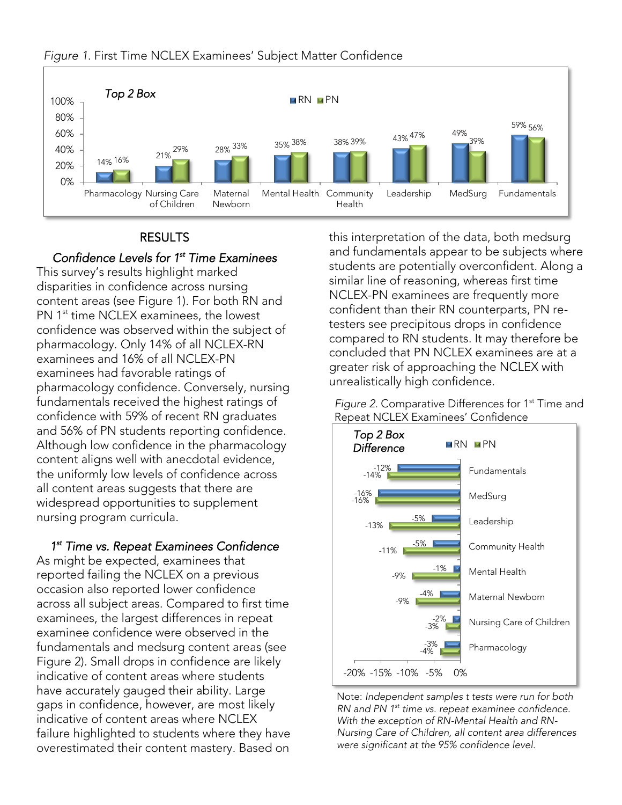

#### *Figure 1*. First Time NCLEX Examinees' Subject Matter Confidence

#### **RESULTS**

 $R = 1$ *Confidence Levels for 1st Time Examinees*  disparities in confidence across nursing content areas (see Figure 1). For both RN and PN 1<sup>st</sup> time NCLEX examinees, the lowest PN TH time NCLEX examinees, the lowest<br>confidence was observed within the subjec pharmacology. Only 14% of all NCLEX-RN examinees and 16% of all NCLEX-PN examinees had favorable ratings of pharmacology confidence. Conversely, nursing fundamentals received the highest ratings of confidence with 59% of recent RN graduates and 56% of PN students reporting confidence. Although low confidence in the pharmacology content aligns well with anecdotal evidence, the uniformly low levels of confidence across all content areas suggests that there are widespread opportunities to supplement nursing program curricula. nursing program curricula.

*1 Time vs. Repeat Examinees Confidence*  1<sup>st</sup> Time vs. Repeat Examinees Confidence reported failing the NCLEX on a previous occasion also reported lower confidence across all subject areas. Compared to first time examinees, the largest differences in repeat examinee confidence were observed in the fundamentals and medsurg content areas (see Figure 2). Small drops in confidence are likely indicative of content areas where students have accurately gauged their ability. Large gaps in confidence, however, are most likely indicative of content areas where NCLEX failure highlighted to students where they have failure to student where they have a students where they have a student where they have a students where they have the students where they have a students where they have the students where  $\frac{1}{2}$ overestimated their content mastery. Based on this interpretation of the data, both medsurg<br>and fundamentals appear to be subjects where students are potentially overconfident. Along a similar line of reasoning, whereas first time NCLEX-PN examinees are frequently more confident than their RN counterparts, PN retesters see precipitous drops in confidence compared to RN students. It may therefore be concluded that PN NCLEX examinees are at a greater risk of approaching the NCLEX with unrealistically high confidence. unrealistically high confidence.

*Figure 2.* Comparative Differences for 1<sup>st</sup> Time and<br>Repeat NCLEX Examinees' Confidence



Note: *Independent samples t tests were run for both RN and PN 1 st time vs. repeat examinee confidence.*  Nursing Care of Children, all content area differences were significant at the 95% confidence level *were significant at the 95% confidence level.*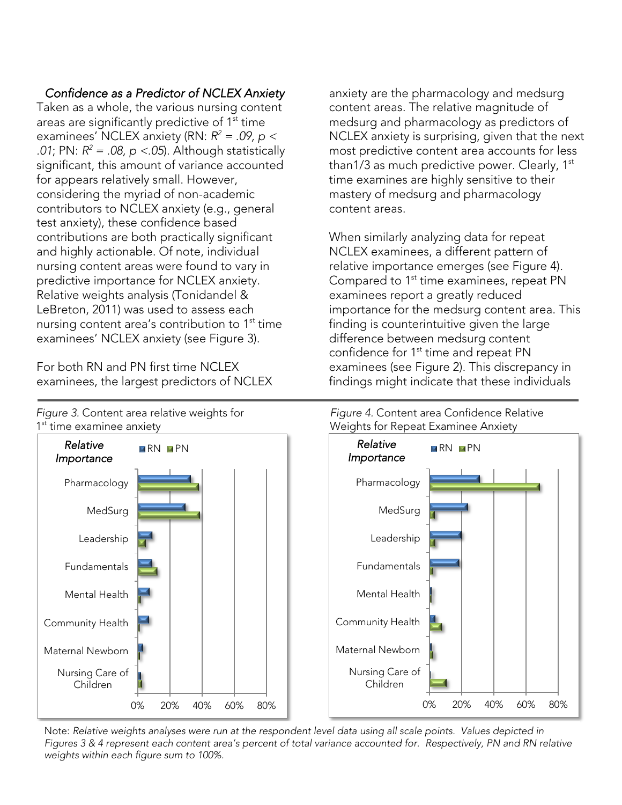# *Confidence as a Predictor of NCLEX Anxiety*

areas are significantly predictive of 1<sup>st</sup> time areas are significantly predictive of The time<br>examinees' NCLEX anxiety (RNHR<sup>2</sup> = 09 n examinees inclea anxiety (RN:  $R = 0.09$ ,  $p \le 0.01$ ; PN:  $R^2 = 0.8$ , p < 05). Although statisticall *.01*; PN:  $R = .06$ ,  $p < .03$ ). Although statistically<br>significant this amount of variance accounted for appears relatively small. However, considering the myriad of non-academic contributors to NCLEX anxiety (e.g., general test anxiety), these confidence based contributions are both practically significant and highly actionable. Of note, individual nursing content areas were found to vary in predictive importance for NCLEX anxiety. Relative weights analysis (Tonidandel & LeBreton, 2011) was used to assess each  $\frac{1}{2}$  and  $\frac{1}{2}$  are  $\frac{1}{2}$  and  $\frac{1}{2}$  are  $\frac{1}{2}$  contribution to  $1^{\text{st}}$ examinees' NCLEX anxiety (see Figure '' time<br>่3\ examinees' NCLEX anxiety (see Figure 3).

For both RN and PN first time NCLEX For both RN and Primer and Process. examinees, the largest predictors of NCLEX anxiety are the pharmacology and medsurg medsurg and pharmacology as predictors of NCLEX anxiety is surprising, given that the next most predictive content area accounts for less  $than 1/3$  as much predictive power. Clearly,  $1^{st}$ time examines are highly sensitive to their mastery of medsurg and pharmacology content areas. content areas.

When similarly analyzing data for repeat<br>NCLEX examinees, a different pattern of relative importance emerges (see Figure 4). Compared to 1<sup>st</sup> time examinees, repeat PN. examinees report a greatly reduced importance for the medsurg content area. This finding is counterintuitive given the large. difference between medsurg content confidence for 1<sup>st</sup> time and repeat PN examinees (see Figure 2). This discrepancy in enaminees (see Figure 2). This also spand in the main strength in the strength of the strength in the strength of the strength of the strength of the strength of the strength of the strength of the strength of the strength findings might indicate that these individuals



Note: *Relative weights analyses were run at the respondent level data using all scale points. Values depicted in Figures 3 & 4 represent each content area's percent of total variance accounted for. Respectively, PN and RN relative weights within each figure sum to 100%.*

*Figure 3.* Content area relative weights for